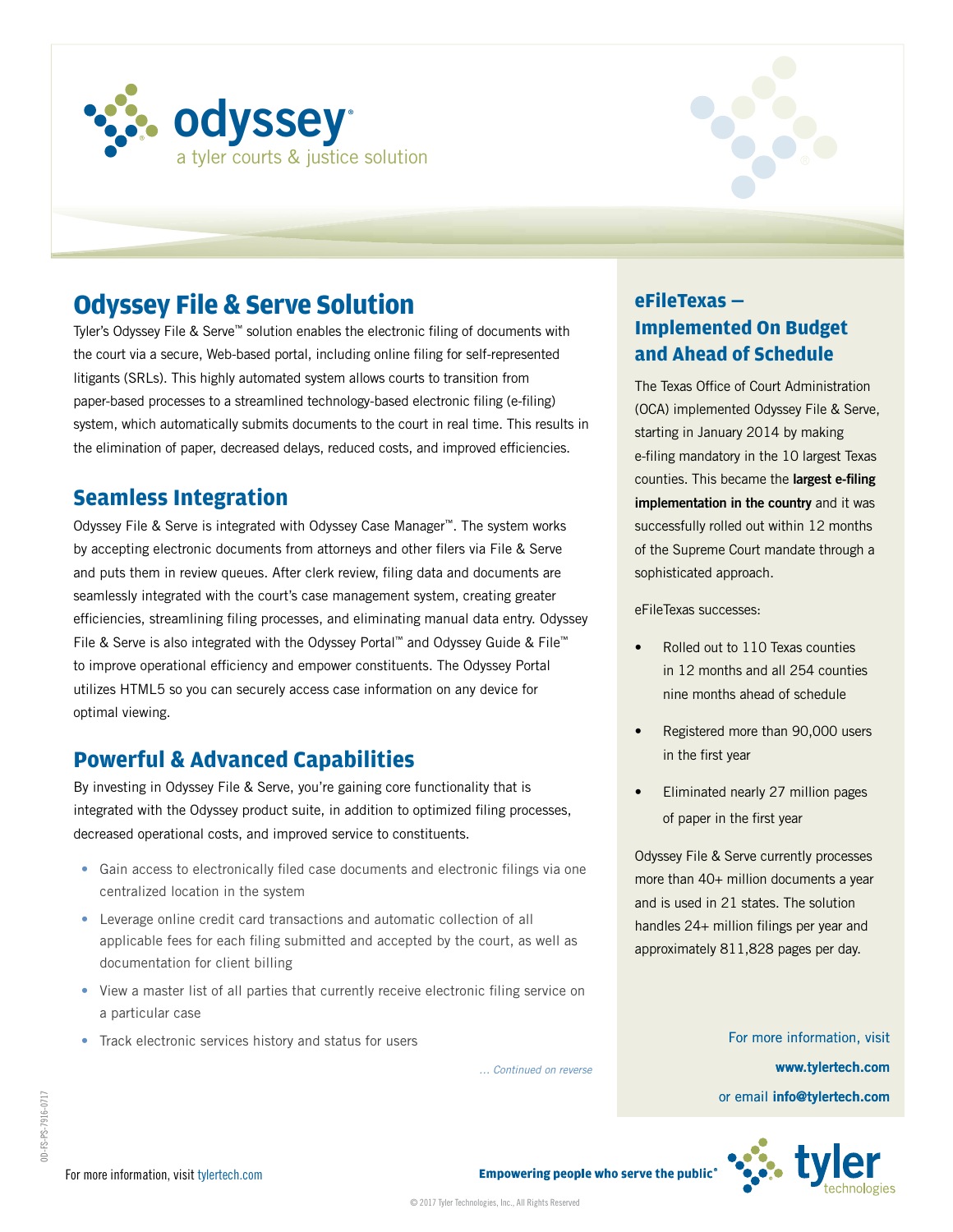



# **Odyssey File & Serve Solution**

Tyler's Odyssey File & Serve™ solution enables the electronic filing of documents with the court via a secure, Web-based portal, including online filing for self-represented litigants (SRLs). This highly automated system allows courts to transition from paper-based processes to a streamlined technology-based electronic filing (e-filing) system, which automatically submits documents to the court in real time. This results in the elimination of paper, decreased delays, reduced costs, and improved efficiencies.

#### **Seamless Integration**

Odyssey File & Serve is integrated with Odyssey Case Manager™. The system works by accepting electronic documents from attorneys and other filers via File & Serve and puts them in review queues. After clerk review, filing data and documents are seamlessly integrated with the court's case management system, creating greater efficiencies, streamlining filing processes, and eliminating manual data entry. Odyssey File & Serve is also integrated with the Odyssey Portal™ and Odyssey Guide & File™ to improve operational efficiency and empower constituents. The Odyssey Portal utilizes HTML5 so you can securely access case information on any device for optimal viewing.

### **Powerful & Advanced Capabilities**

By investing in Odyssey File & Serve, you're gaining core functionality that is integrated with the Odyssey product suite, in addition to optimized filing processes, decreased operational costs, and improved service to constituents.

- Gain access to electronically filed case documents and electronic filings via one centralized location in the system
- Leverage online credit card transactions and automatic collection of all applicable fees for each filing submitted and accepted by the court, as well as documentation for client billing
- View a master list of all parties that currently receive electronic filing service on a particular case
- Track electronic services history and status for users

*… Continued on reverse*

#### **eFileTexas — Implemented On Budget and Ahead of Schedule**

The Texas Office of Court Administration (OCA) implemented Odyssey File & Serve, starting in January 2014 by making e-filing mandatory in the 10 largest Texas counties. This became the **largest e-filing implementation in the country** and it was successfully rolled out within 12 months of the Supreme Court mandate through a sophisticated approach.

eFileTexas successes:

- Rolled out to 110 Texas counties in 12 months and all 254 counties nine months ahead of schedule
- Registered more than 90,000 users in the first year
- Eliminated nearly 27 million pages of paper in the first year

Odyssey File & Serve currently processes more than 40+ million documents a year and is used in 21 states. The solution handles 24+ million filings per year and approximately 811,828 pages per day.

> For more information, visit **www.tylertech.com** or email **info@tylertech.com**